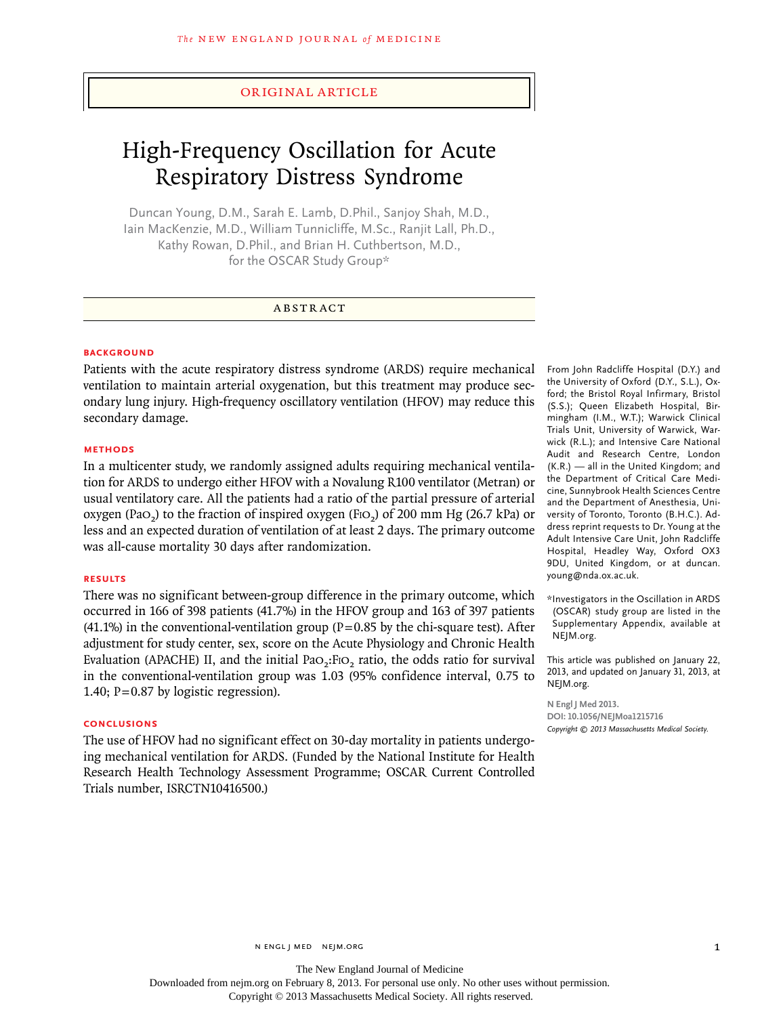## original article

# High-Frequency Oscillation for Acute Respiratory Distress Syndrome

Duncan Young, D.M., Sarah E. Lamb, D.Phil., Sanjoy Shah, M.D., Iain MacKenzie, M.D., William Tunnicliffe, M.Sc., Ranjit Lall, Ph.D., Kathy Rowan, D.Phil., and Brian H. Cuthbertson, M.D., for the OSCAR Study Group\*

# **ABSTRACT**

#### **BACKGROUND**

Patients with the acute respiratory distress syndrome (ARDS) require mechanical ventilation to maintain arterial oxygenation, but this treatment may produce secondary lung injury. High-frequency oscillatory ventilation (HFOV) may reduce this secondary damage.

#### **Methods**

In a multicenter study, we randomly assigned adults requiring mechanical ventilation for ARDS to undergo either HFOV with a Novalung R100 ventilator (Metran) or usual ventilatory care. All the patients had a ratio of the partial pressure of arterial oxygen (Pa $O<sub>2</sub>$ ) to the fraction of inspired oxygen (Fi $O<sub>2</sub>$ ) of 200 mm Hg (26.7 kPa) or less and an expected duration of ventilation of at least 2 days. The primary outcome was all-cause mortality 30 days after randomization.

#### **Results**

There was no significant between-group difference in the primary outcome, which occurred in 166 of 398 patients (41.7%) in the HFOV group and 163 of 397 patients  $(41.1\%)$  in the conventional-ventilation group (P=0.85 by the chi-square test). After adjustment for study center, sex, score on the Acute Physiology and Chronic Health Evaluation (APACHE) II, and the initial Pa $O_2$ : Fi $O_2$  ratio, the odds ratio for survival in the conventional-ventilation group was 1.03 (95% confidence interval, 0.75 to 1.40; P=0.87 by logistic regression).

#### **Conclusions**

The use of HFOV had no significant effect on 30-day mortality in patients undergoing mechanical ventilation for ARDS. (Funded by the National Institute for Health Research Health Technology Assessment Programme; OSCAR Current Controlled Trials number, ISRCTN10416500.)

From John Radcliffe Hospital (D.Y.) and the University of Oxford (D.Y., S.L.), Oxford; the Bristol Royal Infirmary, Bristol (S.S.); Queen Elizabeth Hospital, Birmingham (I.M., W.T.); Warwick Clinical Trials Unit, University of Warwick, Warwick (R.L.); and Intensive Care National Audit and Research Centre, London (K.R.) — all in the United Kingdom; and the Department of Critical Care Medicine, Sunnybrook Health Sciences Centre and the Department of Anesthesia, University of Toronto, Toronto (B.H.C.). Address reprint requests to Dr. Young at the Adult Intensive Care Unit, John Radcliffe Hospital, Headley Way, Oxford OX3 9DU, United Kingdom, or at duncan. young@nda.ox.ac.uk.

\*Investigators in the Oscillation in ARDS (OSCAR) study group are listed in the Supplementary Appendix, available at NEJM.org.

This article was published on January 22, 2013, and updated on January 31, 2013, at NEJM.org.

**N Engl J Med 2013. DOI: 10.1056/NEJMoa1215716** *Copyright © 2013 Massachusetts Medical Society.*

Downloaded from nejm.org on February 8, 2013. For personal use only. No other uses without permission.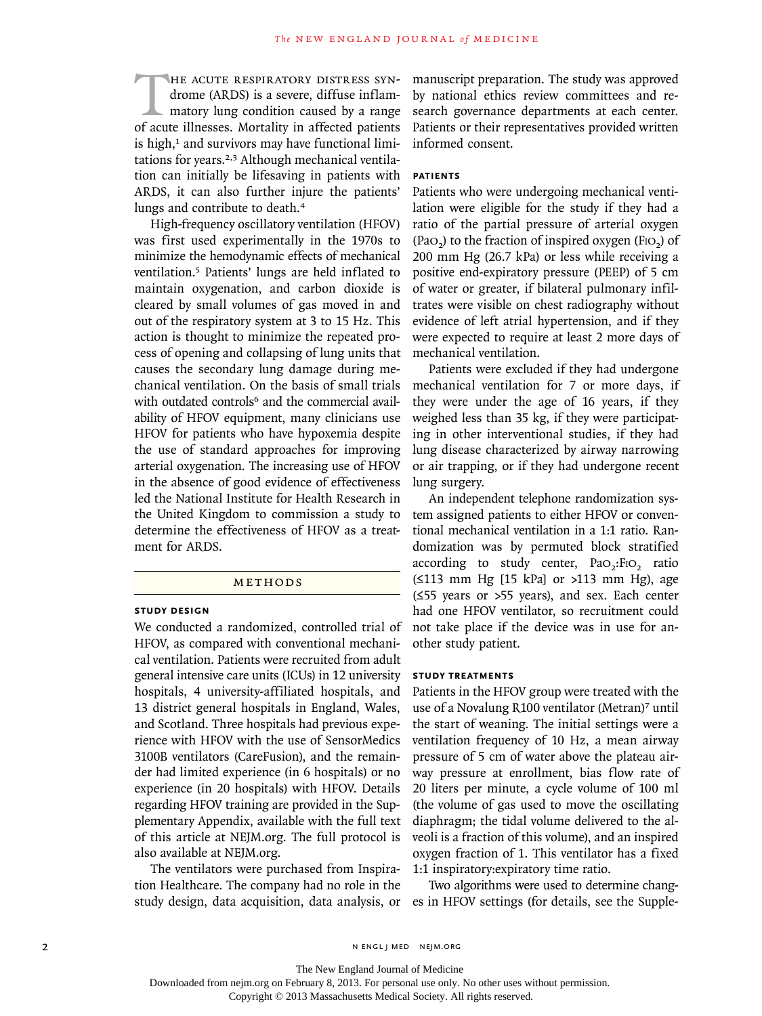HE ACUTE RESPIRATORY DISTRESS SYN-<br>drome (ARDS) is a severe, diffuse inflam-<br>matory lung condition caused by a range<br>of acute illnesses. Mortality in affected patients drome (ARDS) is a severe, diffuse inflammatory lung condition caused by a range of acute illnesses. Mortality in affected patients is high, $1$  and survivors may have functional limitations for years.<sup>2,3</sup> Although mechanical ventilation can initially be lifesaving in patients with ARDS, it can also further injure the patients' lungs and contribute to death.<sup>4</sup>

High-frequency oscillatory ventilation (HFOV) was first used experimentally in the 1970s to minimize the hemodynamic effects of mechanical ventilation.5 Patients' lungs are held inflated to maintain oxygenation, and carbon dioxide is cleared by small volumes of gas moved in and out of the respiratory system at 3 to 15 Hz. This action is thought to minimize the repeated process of opening and collapsing of lung units that causes the secondary lung damage during mechanical ventilation. On the basis of small trials with outdated controls<sup>6</sup> and the commercial availability of HFOV equipment, many clinicians use HFOV for patients who have hypoxemia despite the use of standard approaches for improving arterial oxygenation. The increasing use of HFOV in the absence of good evidence of effectiveness led the National Institute for Health Research in the United Kingdom to commission a study to determine the effectiveness of HFOV as a treatment for ARDS.

#### METHODS

#### **Study Design**

We conducted a randomized, controlled trial of HFOV, as compared with conventional mechanical ventilation. Patients were recruited from adult general intensive care units (ICUs) in 12 university hospitals, 4 university-affiliated hospitals, and 13 district general hospitals in England, Wales, and Scotland. Three hospitals had previous experience with HFOV with the use of SensorMedics 3100B ventilators (CareFusion), and the remainder had limited experience (in 6 hospitals) or no experience (in 20 hospitals) with HFOV. Details regarding HFOV training are provided in the Supplementary Appendix, available with the full text of this article at NEJM.org. The full protocol is also available at NEJM.org.

The ventilators were purchased from Inspiration Healthcare. The company had no role in the study design, data acquisition, data analysis, or es in HFOV settings (for details, see the Supple-

manuscript preparation. The study was approved by national ethics review committees and research governance departments at each center. Patients or their representatives provided written informed consent.

# **Patients**

Patients who were undergoing mechanical ventilation were eligible for the study if they had a ratio of the partial pressure of arterial oxygen  $(Pao<sub>2</sub>)$  to the fraction of inspired oxygen  $(Fio<sub>2</sub>)$  of 200 mm Hg (26.7 kPa) or less while receiving a positive end-expiratory pressure (PEEP) of 5 cm of water or greater, if bilateral pulmonary infiltrates were visible on chest radiography without evidence of left atrial hypertension, and if they were expected to require at least 2 more days of mechanical ventilation.

Patients were excluded if they had undergone mechanical ventilation for 7 or more days, if they were under the age of 16 years, if they weighed less than 35 kg, if they were participating in other interventional studies, if they had lung disease characterized by airway narrowing or air trapping, or if they had undergone recent lung surgery.

An independent telephone randomization system assigned patients to either HFOV or conventional mechanical ventilation in a 1:1 ratio. Randomization was by permuted block stratified according to study center,  $PaO<sub>2</sub>:FiO<sub>2</sub>$  ratio (≤113 mm Hg [15 kPa] or >113 mm Hg), age (≤55 years or >55 years), and sex. Each center had one HFOV ventilator, so recruitment could not take place if the device was in use for another study patient.

### **Study Treatments**

Patients in the HFOV group were treated with the use of a Novalung R100 ventilator (Metran)<sup>7</sup> until the start of weaning. The initial settings were a ventilation frequency of 10 Hz, a mean airway pressure of 5 cm of water above the plateau airway pressure at enrollment, bias flow rate of 20 liters per minute, a cycle volume of 100 ml (the volume of gas used to move the oscillating diaphragm; the tidal volume delivered to the alveoli is a fraction of this volume), and an inspired oxygen fraction of 1. This ventilator has a fixed 1:1 inspiratory:expiratory time ratio.

Two algorithms were used to determine chang-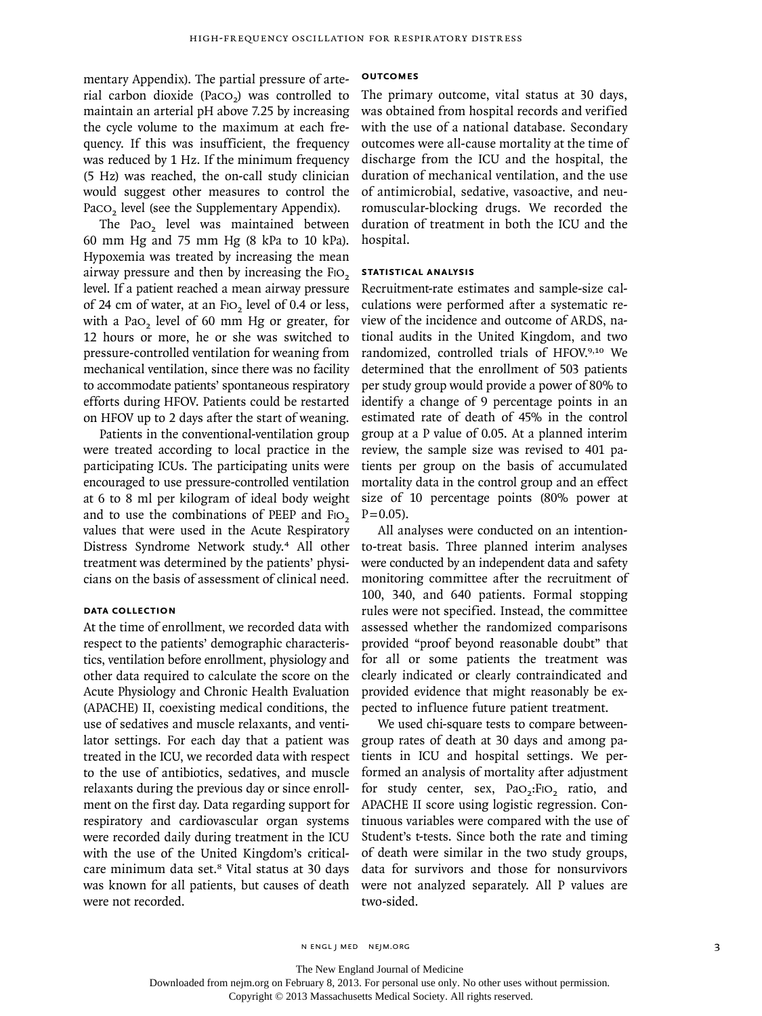mentary Appendix). The partial pressure of arterial carbon dioxide (Paco<sub>2</sub>) was controlled to maintain an arterial pH above 7.25 by increasing the cycle volume to the maximum at each frequency. If this was insufficient, the frequency was reduced by 1 Hz. If the minimum frequency (5 Hz) was reached, the on-call study clinician would suggest other measures to control the Paco<sub>2</sub> level (see the Supplementary Appendix).

The PaO<sub>2</sub> level was maintained between 60 mm Hg and 75 mm Hg (8 kPa to 10 kPa). Hypoxemia was treated by increasing the mean airway pressure and then by increasing the FIO<sub>2</sub> level. If a patient reached a mean airway pressure of 24 cm of water, at an F<sub>IO</sub>, level of 0.4 or less, with a Pa $o<sub>2</sub>$  level of 60 mm Hg or greater, for 12 hours or more, he or she was switched to pressure-controlled ventilation for weaning from mechanical ventilation, since there was no facility to accommodate patients' spontaneous respiratory efforts during HFOV. Patients could be restarted on HFOV up to 2 days after the start of weaning.

Patients in the conventional-ventilation group were treated according to local practice in the participating ICUs. The participating units were encouraged to use pressure-controlled ventilation at 6 to 8 ml per kilogram of ideal body weight and to use the combinations of PEEP and FIO2 values that were used in the Acute Respiratory Distress Syndrome Network study.4 All other treatment was determined by the patients' physicians on the basis of assessment of clinical need.

# **Data Collection**

At the time of enrollment, we recorded data with respect to the patients' demographic characteristics, ventilation before enrollment, physiology and other data required to calculate the score on the Acute Physiology and Chronic Health Evaluation (APACHE) II, coexisting medical conditions, the use of sedatives and muscle relaxants, and ventilator settings. For each day that a patient was treated in the ICU, we recorded data with respect to the use of antibiotics, sedatives, and muscle relaxants during the previous day or since enrollment on the first day. Data regarding support for respiratory and cardiovascular organ systems were recorded daily during treatment in the ICU with the use of the United Kingdom's criticalcare minimum data set.8 Vital status at 30 days was known for all patients, but causes of death were not recorded.

#### **Outcomes**

The primary outcome, vital status at 30 days, was obtained from hospital records and verified with the use of a national database. Secondary outcomes were all-cause mortality at the time of discharge from the ICU and the hospital, the duration of mechanical ventilation, and the use of antimicrobial, sedative, vasoactive, and neuromuscular-blocking drugs. We recorded the duration of treatment in both the ICU and the hospital.

# **Statistical Analysis**

Recruitment-rate estimates and sample-size calculations were performed after a systematic review of the incidence and outcome of ARDS, national audits in the United Kingdom, and two randomized, controlled trials of HFOV.9,10 We determined that the enrollment of 503 patients per study group would provide a power of 80% to identify a change of 9 percentage points in an estimated rate of death of 45% in the control group at a P value of 0.05. At a planned interim review, the sample size was revised to 401 patients per group on the basis of accumulated mortality data in the control group and an effect size of 10 percentage points (80% power at  $P = 0.05$ ).

All analyses were conducted on an intentionto-treat basis. Three planned interim analyses were conducted by an independent data and safety monitoring committee after the recruitment of 100, 340, and 640 patients. Formal stopping rules were not specified. Instead, the committee assessed whether the randomized comparisons provided "proof beyond reasonable doubt" that for all or some patients the treatment was clearly indicated or clearly contraindicated and provided evidence that might reasonably be expected to influence future patient treatment.

We used chi-square tests to compare betweengroup rates of death at 30 days and among patients in ICU and hospital settings. We performed an analysis of mortality after adjustment for study center, sex, Pao<sub>2</sub>:Fio<sub>2</sub> ratio, and APACHE II score using logistic regression. Continuous variables were compared with the use of Student's t-tests. Since both the rate and timing of death were similar in the two study groups, data for survivors and those for nonsurvivors were not analyzed separately. All P values are two-sided.

The New England Journal of Medicine

Downloaded from nejm.org on February 8, 2013. For personal use only. No other uses without permission.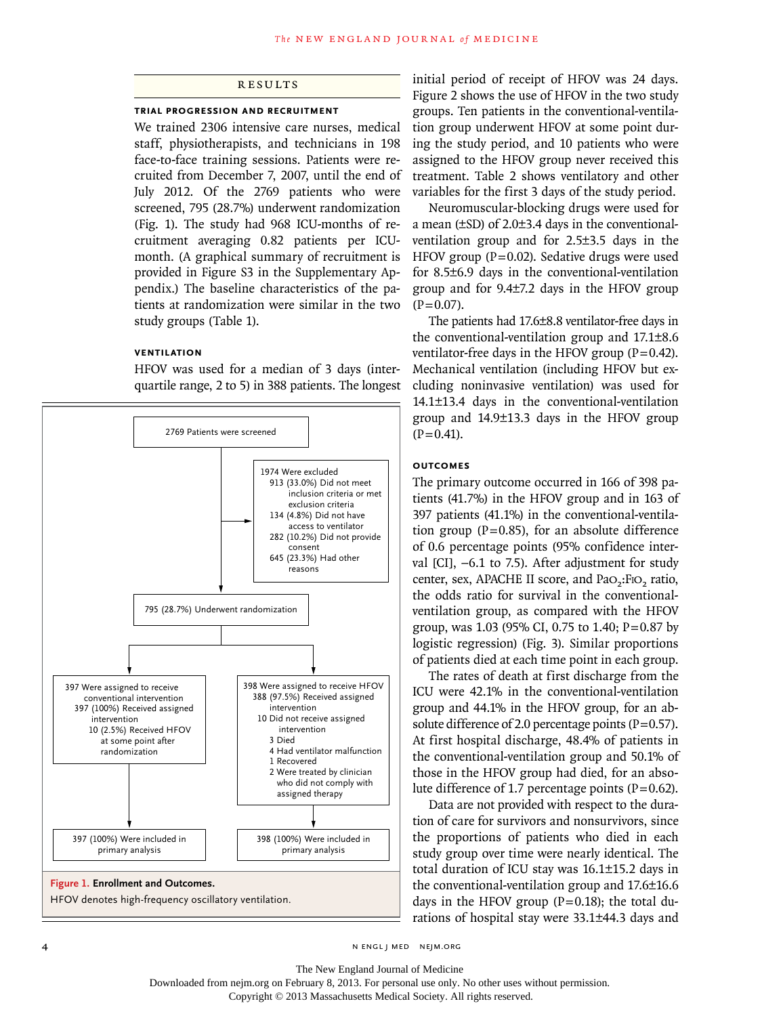# **RESULTS**

#### **Trial Progression and Recruitment**

We trained 2306 intensive care nurses, medical staff, physiotherapists, and technicians in 198 face-to-face training sessions. Patients were recruited from December 7, 2007, until the end of July 2012. Of the 2769 patients who were screened, 795 (28.7%) underwent randomization (Fig. 1). The study had 968 ICU-months of recruitment averaging 0.82 patients per ICUmonth. (A graphical summary of recruitment is provided in Figure S3 in the Supplementary Appendix.) The baseline characteristics of the patients at randomization were similar in the two study groups (Table 1).

#### **Ventilation**

HFOV was used for a median of 3 days (interquartile range, 2 to 5) in 388 patients. The longest



initial period of receipt of HFOV was 24 days. Figure 2 shows the use of HFOV in the two study groups. Ten patients in the conventional-ventilation group underwent HFOV at some point during the study period, and 10 patients who were assigned to the HFOV group never received this treatment. Table 2 shows ventilatory and other variables for the first 3 days of the study period.

Neuromuscular-blocking drugs were used for a mean (±SD) of 2.0±3.4 days in the conventionalventilation group and for 2.5±3.5 days in the HFOV group ( $P=0.02$ ). Sedative drugs were used for 8.5±6.9 days in the conventional-ventilation group and for 9.4±7.2 days in the HFOV group  $(P=0.07)$ .

The patients had 17.6±8.8 ventilator-free days in the conventional-ventilation group and 17.1±8.6 ventilator-free days in the HFOV group  $(P=0.42)$ . Mechanical ventilation (including HFOV but excluding noninvasive ventilation) was used for 14.1±13.4 days in the conventional-ventilation group and 14.9±13.3 days in the HFOV group  $(P=0.41)$ .

## **Outcomes**

The primary outcome occurred in 166 of 398 patients (41.7%) in the HFOV group and in 163 of 397 patients (41.1%) in the conventional-ventilation group ( $P=0.85$ ), for an absolute difference of 0.6 percentage points (95% confidence interval [CI], −6.1 to 7.5). After adjustment for study center, sex, APACHE II score, and PaO<sub>2</sub>:FIO<sub>2</sub> ratio, the odds ratio for survival in the conventionalventilation group, as compared with the HFOV group, was 1.03 (95% CI, 0.75 to 1.40; P=0.87 by logistic regression) (Fig. 3). Similar proportions of patients died at each time point in each group.

The rates of death at first discharge from the ICU were 42.1% in the conventional-ventilation group and 44.1% in the HFOV group, for an absolute difference of 2.0 percentage points  $(P=0.57)$ . At first hospital discharge, 48.4% of patients in the conventional-ventilation group and 50.1% of those in the HFOV group had died, for an absolute difference of 1.7 percentage points  $(P=0.62)$ .

Data are not provided with respect to the duration of care for survivors and nonsurvivors, since the proportions of patients who died in each study group over time were nearly identical. The total duration of ICU stay was 16.1±15.2 days in the conventional-ventilation group and 17.6±16.6 days in the HFOV group  $(P=0.18)$ ; the total durations of hospital stay were 33.1±44.3 days and

4 n engl j med nejm.org i med nejm.org i med nejm.org i med nejm.org i med nejm.org i med nejm.org i med nejm.org

The New England Journal of Medicine

Downloaded from nejm.org on February 8, 2013. For personal use only. No other uses without permission.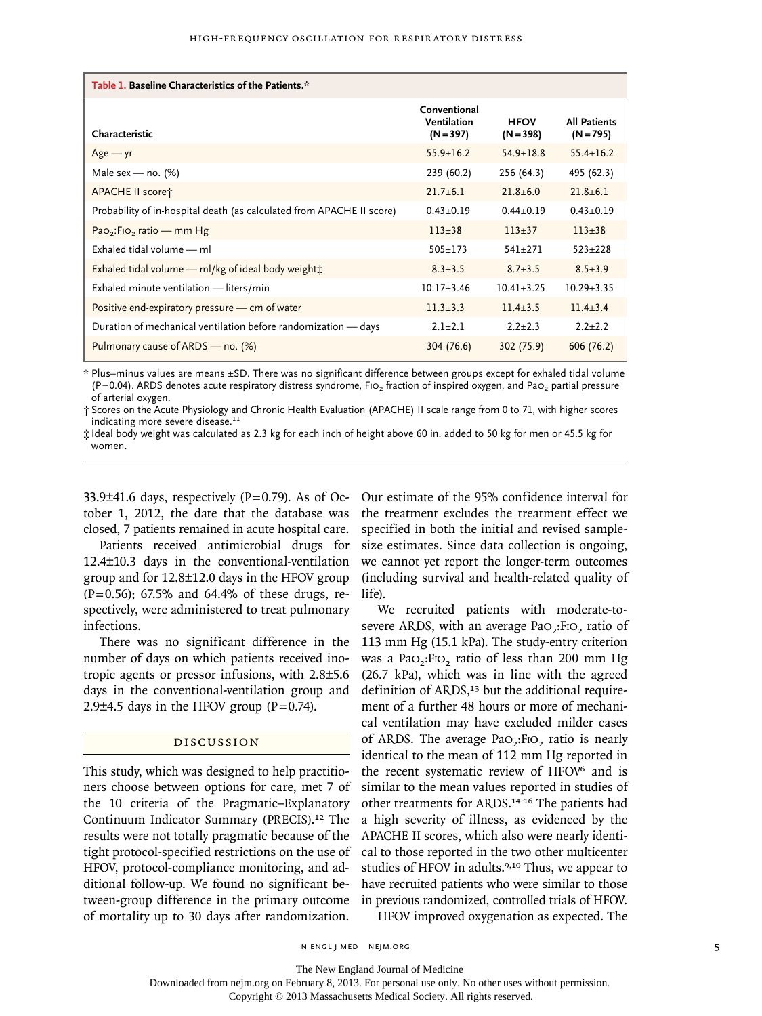| Table 1. Baseline Characteristics of the Patients.*                   |                                            |                            |                                    |  |  |  |  |  |
|-----------------------------------------------------------------------|--------------------------------------------|----------------------------|------------------------------------|--|--|--|--|--|
| Characteristic                                                        | Conventional<br>Ventilation<br>$(N = 397)$ | <b>HFOV</b><br>$(N = 398)$ | <b>All Patients</b><br>$(N = 795)$ |  |  |  |  |  |
| $Age - yr$                                                            | $55.9 \pm 16.2$                            | $54.9 \pm 18.8$            | $55.4 \pm 16.2$                    |  |  |  |  |  |
| Male sex — no. $(\%)$                                                 | 239 (60.2)                                 | 256 (64.3)                 | 495 (62.3)                         |  |  |  |  |  |
| APACHE II scoret                                                      | $21.7 + 6.1$                               | $21.8 + 6.0$               | $21.8 + 6.1$                       |  |  |  |  |  |
| Probability of in-hospital death (as calculated from APACHE II score) | $0.43 \pm 0.19$                            | $0.44 + 0.19$              | $0.43 + 0.19$                      |  |  |  |  |  |
| Pao <sub>2</sub> : F <sub>1</sub> o <sub>2</sub> ratio — mm Hg        | $113 + 38$                                 | $113 + 37$                 | $113 + 38$                         |  |  |  |  |  |
| Exhaled tidal volume - ml                                             | $505 + 173$                                | $541 + 271$                | $523 \pm 228$                      |  |  |  |  |  |
| Exhaled tidal volume — ml/kg of ideal body weight $\pm$               | $8.3 \pm 3.5$                              | $8.7 \pm 3.5$              | $8.5 \pm 3.9$                      |  |  |  |  |  |
| Exhaled minute ventilation - liters/min                               | $10.17 + 3.46$                             | $10.41 + 3.25$             | $10.29 + 3.35$                     |  |  |  |  |  |
| Positive end-expiratory pressure - cm of water                        | $11.3 \pm 3.3$                             | $11.4 + 3.5$               | $11.4 + 3.4$                       |  |  |  |  |  |
| Duration of mechanical ventilation before randomization - days        | $2.1 + 2.1$                                | $2.2 + 2.3$                | $2.2 + 2.2$                        |  |  |  |  |  |
| Pulmonary cause of ARDS — no. (%)                                     | 304 (76.6)                                 | 302 (75.9)                 | 606 (76.2)                         |  |  |  |  |  |

\* Plus–minus values are means ±SD. There was no significant difference between groups except for exhaled tidal volume (P=0.04). ARDS denotes acute respiratory distress syndrome, Fio<sub>2</sub> fraction of inspired oxygen, and Pao<sub>2</sub> partial pressure of arterial oxygen.

† Scores on the Acute Physiology and Chronic Health Evaluation (APACHE) II scale range from 0 to 71, with higher scores indicating more severe disease.<sup>11</sup>

‡ Ideal body weight was calculated as 2.3 kg for each inch of height above 60 in. added to 50 kg for men or 45.5 kg for women.

33.9 $\pm$ 41.6 days, respectively (P=0.79). As of October 1, 2012, the date that the database was closed, 7 patients remained in acute hospital care.

Patients received antimicrobial drugs for 12.4±10.3 days in the conventional-ventilation group and for 12.8±12.0 days in the HFOV group (P=0.56); 67.5% and 64.4% of these drugs, respectively, were administered to treat pulmonary infections.

There was no significant difference in the number of days on which patients received inotropic agents or pressor infusions, with 2.8±5.6 days in the conventional-ventilation group and 2.9 $\pm$ 4.5 days in the HFOV group (P=0.74).

### Discussion

This study, which was designed to help practitioners choose between options for care, met 7 of the 10 criteria of the Pragmatic–Explanatory Continuum Indicator Summary (PRECIS).<sup>12</sup> The results were not totally pragmatic because of the tight protocol-specified restrictions on the use of HFOV, protocol-compliance monitoring, and additional follow-up. We found no significant between-group difference in the primary outcome of mortality up to 30 days after randomization.

Our estimate of the 95% confidence interval for the treatment excludes the treatment effect we specified in both the initial and revised samplesize estimates. Since data collection is ongoing, we cannot yet report the longer-term outcomes (including survival and health-related quality of life).

We recruited patients with moderate-tosevere ARDS, with an average PaO<sub>2</sub>:FiO<sub>2</sub> ratio of 113 mm Hg (15.1 kPa). The study-entry criterion was a Pao<sub>2</sub>:FIO<sub>2</sub> ratio of less than 200 mm Hg (26.7 kPa), which was in line with the agreed definition of  $ARDS<sub>13</sub>$  but the additional requirement of a further 48 hours or more of mechanical ventilation may have excluded milder cases of ARDS. The average PaO<sub>2</sub>:FIO<sub>2</sub> ratio is nearly identical to the mean of 112 mm Hg reported in the recent systematic review of HFOV<sup>6</sup> and is similar to the mean values reported in studies of other treatments for ARDS.14-16 The patients had a high severity of illness, as evidenced by the APACHE II scores, which also were nearly identical to those reported in the two other multicenter studies of HFOV in adults.<sup>9,10</sup> Thus, we appear to have recruited patients who were similar to those in previous randomized, controlled trials of HFOV. HFOV improved oxygenation as expected. The

n engl j med nejm.org 5

The New England Journal of Medicine

Downloaded from nejm.org on February 8, 2013. For personal use only. No other uses without permission.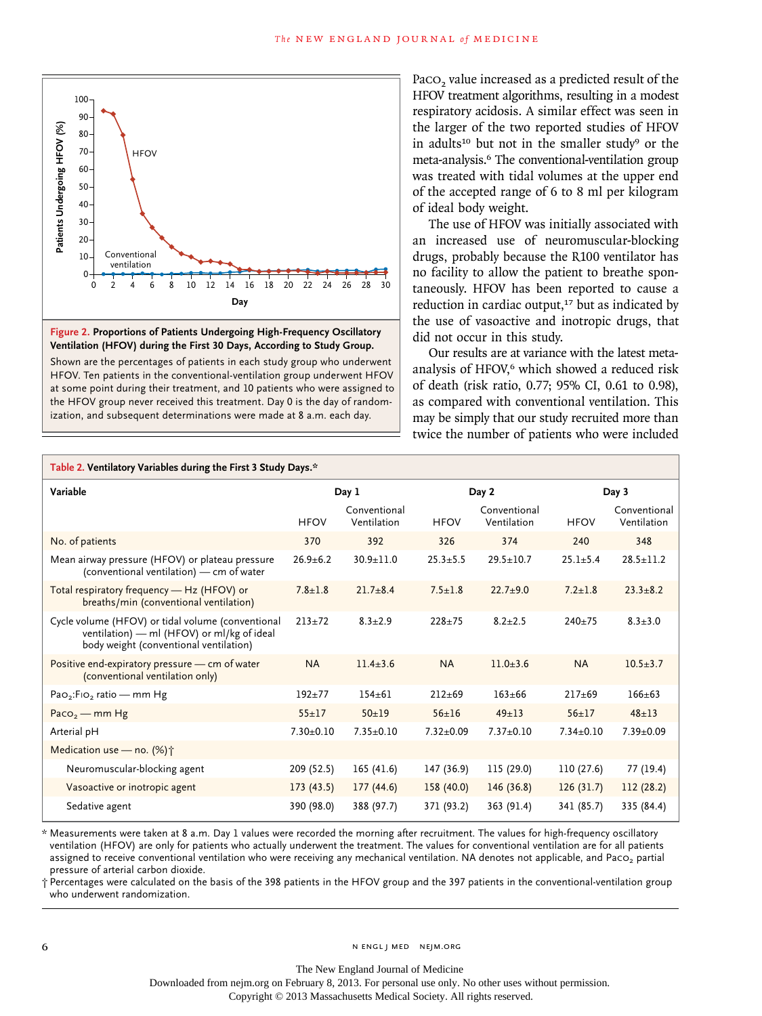



Paco<sub>2</sub> value increased as a predicted result of the HFOV treatment algorithms, resulting in a modest respiratory acidosis. A similar effect was seen in the larger of the two reported studies of HFOV in adults<sup>10</sup> but not in the smaller study<sup>9</sup> or the meta-analysis.6 The conventional-ventilation group was treated with tidal volumes at the upper end of the accepted range of 6 to 8 ml per kilogram of ideal body weight.

| Patients Undergoing HFOV (%)<br>$80 -$<br>$70 -$<br><b>HFOV</b><br>$60 -$<br>$50 -$<br>$40 -$<br>$30 -$<br>$20 -$<br>Conventional<br>$10 -$<br>ventilation<br>0<br>12<br>16<br>18<br>0<br>6<br>8<br>10<br>14<br>2<br>Day<br>Figure 2. Proportions of Patients Undergoing High-Frequency Oscillatory<br>Ventilation (HFOV) during the First 30 Days, According to Study Group.<br>Shown are the percentages of patients in each study group who underwent<br>HFOV. Ten patients in the conventional-ventilation group underwent HFOV<br>at some point during their treatment, and 10 patients who were assigned to<br>the HFOV group never received this treatment. Day 0 is the day of random-<br>ization, and subsequent determinations were made at 8 a.m. each day. | 20<br>22<br>24  | 28<br>26<br>30              | of ideal body weight. | the larger of the two reported studies of HFOV<br>in adults <sup>10</sup> but not in the smaller study <sup>9</sup> or the<br>meta-analysis. <sup>6</sup> The conventional-ventilation group<br>was treated with tidal volumes at the upper end<br>of the accepted range of 6 to 8 ml per kilogram<br>The use of HFOV was initially associated with<br>an increased use of neuromuscular-blocking<br>drugs, probably because the R100 ventilator has<br>no facility to allow the patient to breathe spon-<br>taneously. HFOV has been reported to cause a<br>reduction in cardiac output, <sup>17</sup> but as indicated by<br>the use of vasoactive and inotropic drugs, that<br>did not occur in this study.<br>Our results are at variance with the latest meta-<br>analysis of HFOV, <sup>6</sup> which showed a reduced risk<br>of death (risk ratio, 0.77; 95% CI, 0.61 to 0.98),<br>as compared with conventional ventilation. This<br>may be simply that our study recruited more than<br>twice the number of patients who were included |                 |                             |  |  |
|------------------------------------------------------------------------------------------------------------------------------------------------------------------------------------------------------------------------------------------------------------------------------------------------------------------------------------------------------------------------------------------------------------------------------------------------------------------------------------------------------------------------------------------------------------------------------------------------------------------------------------------------------------------------------------------------------------------------------------------------------------------------|-----------------|-----------------------------|-----------------------|--------------------------------------------------------------------------------------------------------------------------------------------------------------------------------------------------------------------------------------------------------------------------------------------------------------------------------------------------------------------------------------------------------------------------------------------------------------------------------------------------------------------------------------------------------------------------------------------------------------------------------------------------------------------------------------------------------------------------------------------------------------------------------------------------------------------------------------------------------------------------------------------------------------------------------------------------------------------------------------------------------------------------------------------------|-----------------|-----------------------------|--|--|
| Table 2. Ventilatory Variables during the First 3 Study Days.*                                                                                                                                                                                                                                                                                                                                                                                                                                                                                                                                                                                                                                                                                                         |                 |                             |                       |                                                                                                                                                                                                                                                                                                                                                                                                                                                                                                                                                                                                                                                                                                                                                                                                                                                                                                                                                                                                                                                  |                 |                             |  |  |
| Variable                                                                                                                                                                                                                                                                                                                                                                                                                                                                                                                                                                                                                                                                                                                                                               |                 | Day 1<br>Day 2              |                       | Day 3                                                                                                                                                                                                                                                                                                                                                                                                                                                                                                                                                                                                                                                                                                                                                                                                                                                                                                                                                                                                                                            |                 |                             |  |  |
|                                                                                                                                                                                                                                                                                                                                                                                                                                                                                                                                                                                                                                                                                                                                                                        | <b>HFOV</b>     | Conventional<br>Ventilation | <b>HFOV</b>           | Conventional<br>Ventilation                                                                                                                                                                                                                                                                                                                                                                                                                                                                                                                                                                                                                                                                                                                                                                                                                                                                                                                                                                                                                      | <b>HFOV</b>     | Conventional<br>Ventilation |  |  |
| No. of patients                                                                                                                                                                                                                                                                                                                                                                                                                                                                                                                                                                                                                                                                                                                                                        | 370             | 392                         | 326                   | 374                                                                                                                                                                                                                                                                                                                                                                                                                                                                                                                                                                                                                                                                                                                                                                                                                                                                                                                                                                                                                                              | 240             | 348                         |  |  |
| Mean airway pressure (HFOV) or plateau pressure<br>(conventional ventilation) — cm of water                                                                                                                                                                                                                                                                                                                                                                                                                                                                                                                                                                                                                                                                            | $26.9 \pm 6.2$  | $30.9 \pm 11.0$             | $25.3 \pm 5.5$        | $29.5 \pm 10.7$                                                                                                                                                                                                                                                                                                                                                                                                                                                                                                                                                                                                                                                                                                                                                                                                                                                                                                                                                                                                                                  | $25.1 \pm 5.4$  | $28.5 \pm 11.2$             |  |  |
| Total respiratory frequency - Hz (HFOV) or<br>breaths/min (conventional ventilation)                                                                                                                                                                                                                                                                                                                                                                                                                                                                                                                                                                                                                                                                                   | $7.8 \pm 1.8$   | $21.7 \pm 8.4$              | $7.5 \pm 1.8$         | $22.7 + 9.0$                                                                                                                                                                                                                                                                                                                                                                                                                                                                                                                                                                                                                                                                                                                                                                                                                                                                                                                                                                                                                                     | $7.2 \pm 1.8$   | $23.3 \pm 8.2$              |  |  |
| Cycle volume (HFOV) or tidal volume (conventional<br>ventilation) - ml (HFOV) or ml/kg of ideal<br>body weight (conventional ventilation)                                                                                                                                                                                                                                                                                                                                                                                                                                                                                                                                                                                                                              | $213+72$        | $8.3 + 2.9$                 | $228 + 75$            | $8.2 \pm 2.5$                                                                                                                                                                                                                                                                                                                                                                                                                                                                                                                                                                                                                                                                                                                                                                                                                                                                                                                                                                                                                                    | 240±75          | $8.3 \pm 3.0$               |  |  |
| Positive end-expiratory pressure - cm of water<br>(conventional ventilation only)                                                                                                                                                                                                                                                                                                                                                                                                                                                                                                                                                                                                                                                                                      | <b>NA</b>       | $11.4 \pm 3.6$              | <b>NA</b>             | $11.0 \pm 3.6$                                                                                                                                                                                                                                                                                                                                                                                                                                                                                                                                                                                                                                                                                                                                                                                                                                                                                                                                                                                                                                   | <b>NA</b>       | $10.5 \pm 3.7$              |  |  |
| Pao <sub>2</sub> :Fio <sub>2</sub> ratio - mm Hg                                                                                                                                                                                                                                                                                                                                                                                                                                                                                                                                                                                                                                                                                                                       | $192 + 77$      | $154 + 61$                  | $212 + 69$            | $163 + 66$                                                                                                                                                                                                                                                                                                                                                                                                                                                                                                                                                                                                                                                                                                                                                                                                                                                                                                                                                                                                                                       | $217 + 69$      | $166 + 63$                  |  |  |
| $Paco2$ - mm Hg                                                                                                                                                                                                                                                                                                                                                                                                                                                                                                                                                                                                                                                                                                                                                        | $55 + 17$       | $50 + 19$                   | $56 \pm 16$           | $49 \pm 13$                                                                                                                                                                                                                                                                                                                                                                                                                                                                                                                                                                                                                                                                                                                                                                                                                                                                                                                                                                                                                                      | $56 + 17$       | $48 + 13$                   |  |  |
| Arterial pH                                                                                                                                                                                                                                                                                                                                                                                                                                                                                                                                                                                                                                                                                                                                                            | $7.30 \pm 0.10$ | $7.35 \pm 0.10$             | $7.32 \pm 0.09$       | $7.37 \pm 0.10$                                                                                                                                                                                                                                                                                                                                                                                                                                                                                                                                                                                                                                                                                                                                                                                                                                                                                                                                                                                                                                  | $7.34 \pm 0.10$ | $7.39 \pm 0.09$             |  |  |
| Medication use - no. $(\%)\uparrow$                                                                                                                                                                                                                                                                                                                                                                                                                                                                                                                                                                                                                                                                                                                                    |                 |                             |                       |                                                                                                                                                                                                                                                                                                                                                                                                                                                                                                                                                                                                                                                                                                                                                                                                                                                                                                                                                                                                                                                  |                 |                             |  |  |
| Neuromuscular-blocking agent                                                                                                                                                                                                                                                                                                                                                                                                                                                                                                                                                                                                                                                                                                                                           | 209 (52.5)      | 165 (41.6)                  | 147 (36.9)            | 115 (29.0)                                                                                                                                                                                                                                                                                                                                                                                                                                                                                                                                                                                                                                                                                                                                                                                                                                                                                                                                                                                                                                       | 110 (27.6)      | 77 (19.4)                   |  |  |
| Vasoactive or inotropic agent                                                                                                                                                                                                                                                                                                                                                                                                                                                                                                                                                                                                                                                                                                                                          | 173(43.5)       | 177(44.6)                   | 158 (40.0)            | 146(36.8)                                                                                                                                                                                                                                                                                                                                                                                                                                                                                                                                                                                                                                                                                                                                                                                                                                                                                                                                                                                                                                        | 126(31.7)       | 112 (28.2)                  |  |  |
| Sedative agent                                                                                                                                                                                                                                                                                                                                                                                                                                                                                                                                                                                                                                                                                                                                                         | 390 (98.0)      | 388 (97.7)                  | 371 (93.2)            | 363 (91.4)                                                                                                                                                                                                                                                                                                                                                                                                                                                                                                                                                                                                                                                                                                                                                                                                                                                                                                                                                                                                                                       | 341 (85.7)      | 335 (84.4)                  |  |  |
| heasurements were taken at 8 a.m. Day 1 values were recorded the morning after recruitment. The values for high-frequency oscillatory *<br>ventilation (HFOV) are only for patients who actually underwent the treatment. The values for conventional ventilation are for all patients<br>assigned to receive conventional ventilation who were receiving any mechanical ventilation. NA denotes not applicable, and Paco <sub>2</sub> partial<br>pressure of arterial carbon dioxide.<br>Percentages were calculated on the basis of the 398 patients in the HFOV group and the 397 patients in the conventional-ventilation group<br>who underwent randomization.                                                                                                    |                 |                             |                       |                                                                                                                                                                                                                                                                                                                                                                                                                                                                                                                                                                                                                                                                                                                                                                                                                                                                                                                                                                                                                                                  |                 |                             |  |  |

The New England Journal of Medicine

Downloaded from nejm.org on February 8, 2013. For personal use only. No other uses without permission.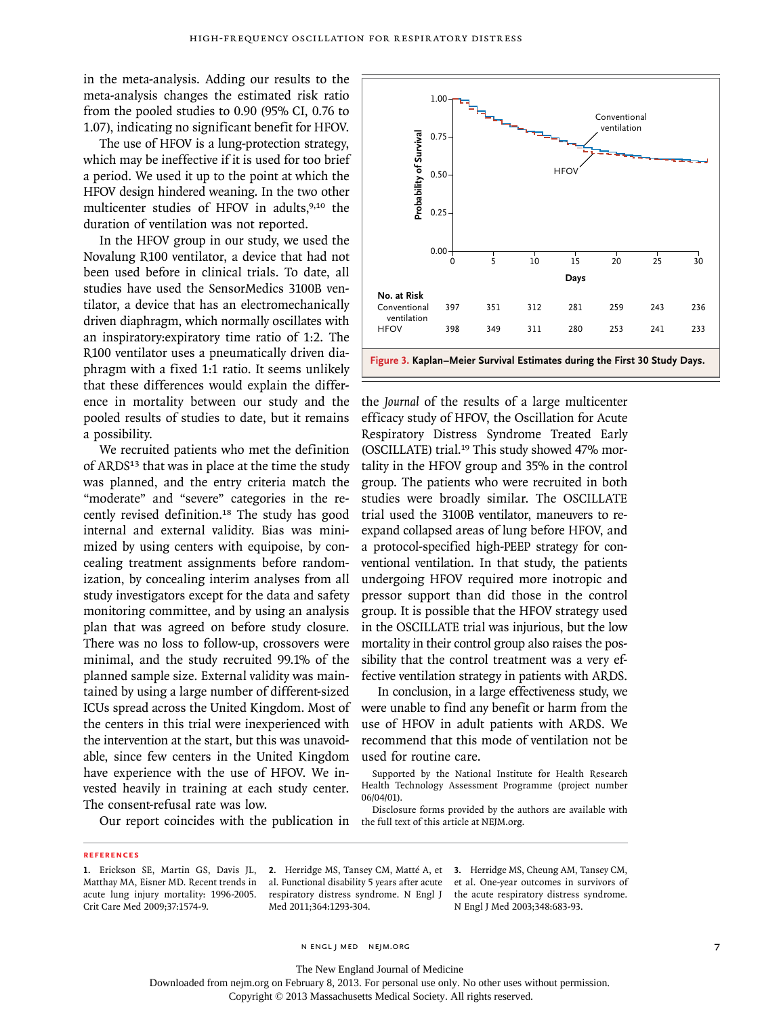in the meta-analysis. Adding our results to the meta-analysis changes the estimated risk ratio from the pooled studies to 0.90 (95% CI, 0.76 to 1.07), indicating no significant benefit for HFOV.

The use of HFOV is a lung-protection strategy, which may be ineffective if it is used for too brief a period. We used it up to the point at which the HFOV design hindered weaning. In the two other multicenter studies of HFOV in adults,<sup>9,10</sup> the duration of ventilation was not reported.

In the HFOV group in our study, we used the Novalung R100 ventilator, a device that had not been used before in clinical trials. To date, all studies have used the SensorMedics 3100B ventilator, a device that has an electromechanically driven diaphragm, which normally oscillates with an inspiratory:expiratory time ratio of 1:2. The R100 ventilator uses a pneumatically driven diaphragm with a fixed 1:1 ratio. It seems unlikely that these differences would explain the difference in mortality between our study and the pooled results of studies to date, but it remains a possibility.

We recruited patients who met the definition of ARDS<sup>13</sup> that was in place at the time the study was planned, and the entry criteria match the "moderate" and "severe" categories in the recently revised definition.18 The study has good internal and external validity. Bias was minimized by using centers with equipoise, by concealing treatment assignments before randomization, by concealing interim analyses from all study investigators except for the data and safety monitoring committee, and by using an analysis plan that was agreed on before study closure. There was no loss to follow-up, crossovers were minimal, and the study recruited 99.1% of the planned sample size. External validity was maintained by using a large number of different-sized ICUs spread across the United Kingdom. Most of the centers in this trial were inexperienced with the intervention at the start, but this was unavoidable, since few centers in the United Kingdom have experience with the use of HFOV. We invested heavily in training at each study center. The consent-refusal rate was low.



the *Journal* of the results of a large multicenter efficacy study of HFOV, the Oscillation for Acute Respiratory Distress Syndrome Treated Early (OSCILLATE) trial.19 This study showed 47% mortality in the HFOV group and 35% in the control group. The patients who were recruited in both studies were broadly similar. The OSCILLATE trial used the 3100B ventilator, maneuvers to reexpand collapsed areas of lung before HFOV, and a protocol-specified high-PEEP strategy for conventional ventilation. In that study, the patients undergoing HFOV required more inotropic and pressor support than did those in the control group. It is possible that the HFOV strategy used in the OSCILLATE trial was injurious, but the low mortality in their control group also raises the possibility that the control treatment was a very effective ventilation strategy in patients with ARDS. The full text of this article at NEJM.org.<br>
The full text of this article at NEJM.org. The conduct of HFOV and NET of HFOV and The power of HFOV and The Jerman Meir of Survival E.<br>
The Journal of the results of a efficienc

In conclusion, in a large effectiveness study, we were unable to find any benefit or harm from the use of HFOV in adult patients with ARDS. We recommend that this mode of ventilation not be used for routine care.

Supported by the National Institute for Health Research Health Technology Assessment Programme (project number 06/04/01).

Our report coincides with the publication in the full text of this article at NEJM.org. Disclosure forms provided by the authors are available with

#### **References**

al. Functional disability 5 years after acute respiratory distress syndrome. N Engl J Med 2011;364:1293-304.

**2.** Herridge MS, Tansey CM, Matté A, et **3.** Herridge MS, Cheung AM, Tansey CM, et al. One-year outcomes in survivors of the acute respiratory distress syndrome. N Engl J Med 2003;348:683-93.

n engl j med nejm.org 7

The New England Journal of Medicine

Downloaded from nejm.org on February 8, 2013. For personal use only. No other uses without permission.

**<sup>1.</sup>** Erickson SE, Martin GS, Davis JL, Matthay MA, Eisner MD. Recent trends in acute lung injury mortality: 1996-2005. Crit Care Med 2009;37:1574-9.